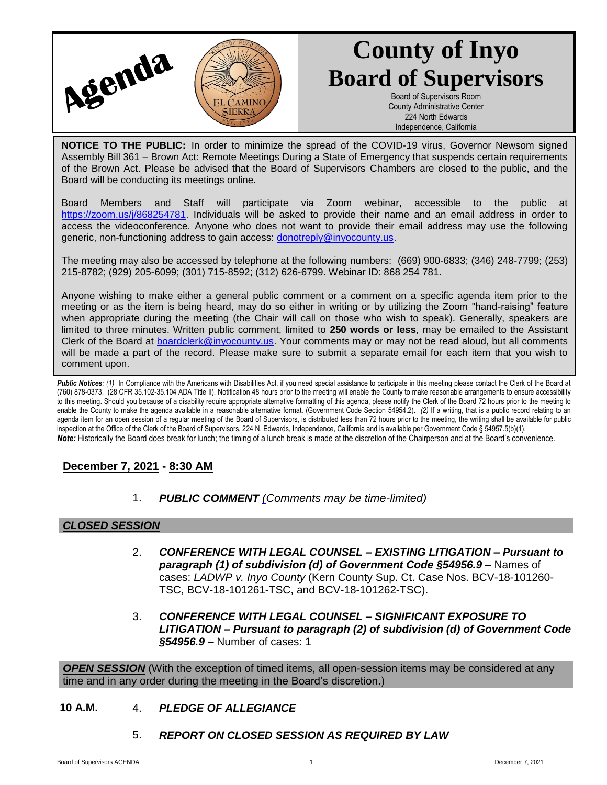

# **County of Inyo Board of Supervisors**

Board of Supervisors Room County Administrative Center 224 North Edwards Independence, California

**NOTICE TO THE PUBLIC:** In order to minimize the spread of the COVID-19 virus, Governor Newsom signed Assembly Bill 361 – Brown Act: Remote Meetings During a State of Emergency that suspends certain requirements of the Brown Act. Please be advised that the Board of Supervisors Chambers are closed to the public, and the Board will be conducting its meetings online.

Board Members and Staff will participate via Zoom webinar, accessible to the public at [https://zoom.us/j/868254781.](https://zoom.us/j/868254781) Individuals will be asked to provide their name and an email address in order to access the videoconference. Anyone who does not want to provide their email address may use the following generic, non-functioning address to gain access: [donotreply@inyocounty.us.](mailto:donotreply@inyocounty.us)

The meeting may also be accessed by telephone at the following numbers: (669) 900-6833; (346) 248-7799; (253) 215-8782; (929) 205-6099; (301) 715-8592; (312) 626-6799. Webinar ID: 868 254 781.

Anyone wishing to make either a general public comment or a comment on a specific agenda item prior to the meeting or as the item is being heard, may do so either in writing or by utilizing the Zoom "hand-raising" feature when appropriate during the meeting (the Chair will call on those who wish to speak). Generally, speakers are limited to three minutes. Written public comment, limited to **250 words or less**, may be emailed to the Assistant Clerk of the Board at [boardclerk@inyocounty.us.](mailto:boardclerk@inyocounty.us) Your comments may or may not be read aloud, but all comments will be made a part of the record. Please make sure to submit a separate email for each item that you wish to comment upon.

Public Notices: (1) In Compliance with the Americans with Disabilities Act, if you need special assistance to participate in this meeting please contact the Clerk of the Board at (760) 878-0373. (28 CFR 35.102-35.104 ADA Title II). Notification 48 hours prior to the meeting will enable the County to make reasonable arrangements to ensure accessibility to this meeting. Should you because of a disability require appropriate alternative formatting of this agenda, please notify the Clerk of the Board 72 hours prior to the meeting to enable the County to make the agenda available in a reasonable alternative format. (Government Code Section 54954.2). *(2)* If a writing, that is a public record relating to an agenda item for an open session of a regular meeting of the Board of Supervisors, is distributed less than 72 hours prior to the meeting, the writing shall be available for public inspection at the Office of the Clerk of the Board of Supervisors, 224 N. Edwards, Independence, California and is available per Government Code § 54957.5(b)(1). *Note:* Historically the Board does break for lunch; the timing of a lunch break is made at the discretion of the Chairperson and at the Board's convenience.

## **December 7, 2021 - 8:30 AM**

1. *PUBLIC COMMENT [\(C](https://inyococa.v8.civicclerk.com/Meetings/Agenda/ItemFields?id=7609)omments may be time-limited)*

## *CLOSED SESSION*

- 2. *CONFERENCE WITH LEGAL COUNSEL – EXISTING LITIGATION – Pursuant to paragraph (1) of subdivision (d) of Government Code §54956.9 –* Names of cases: *LADWP v. Inyo County* (Kern County Sup. Ct. Case Nos. BCV-18-101260- TSC, BCV-18-101261-TSC, and BCV-18-101262-TSC).
- 3. *CONFERENCE WITH LEGAL COUNSEL – SIGNIFICANT EXPOSURE TO LITIGATION – Pursuant to paragraph (2) of subdivision (d) of Government Code §54956.9 –* Number of cases: 1

**OPEN SESSION** (With the exception of timed items, all open-session items may be considered at any time and in any order during the meeting in the Board's discretion.)

- **10 A.M.** 4. *PLEDGE OF ALLEGIANCE*
	- 5. *REPORT ON CLOSED SESSION AS REQUIRED BY LAW*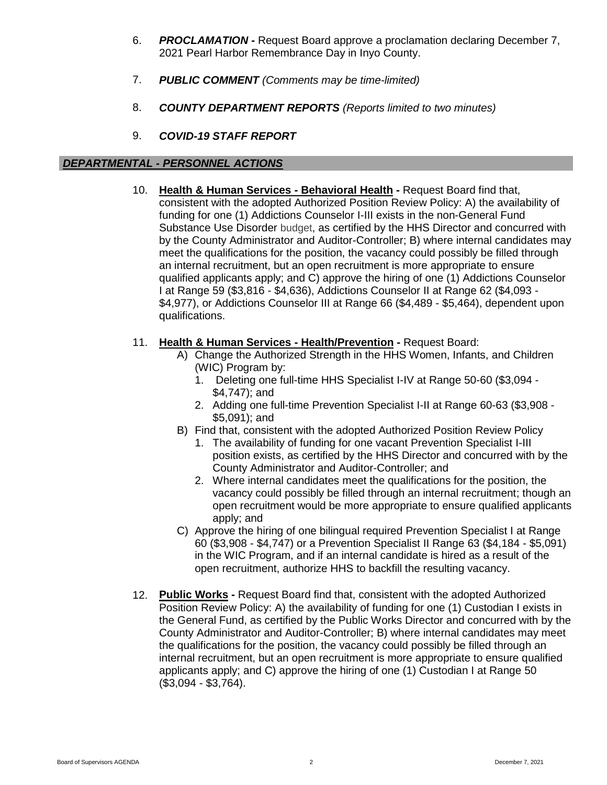- 6. *PROCLAMATION -* Request Board approve a proclamation declaring December 7, 2021 Pearl Harbor Remembrance Day in Inyo County.
- 7. *PUBLIC COMMENT (Comments may be time-limited)*
- 8. *COUNTY DEPARTMENT REPORTS (Reports limited to two minutes)*
- 9. *COVID-19 STAFF REPORT*

#### *DEPARTMENTAL - PERSONNEL ACTIONS*

10. **Health & Human Services - Behavioral Health -** Request Board find that, consistent with the adopted Authorized Position Review Policy: A) the availability of funding for one (1) Addictions Counselor I-III exists in the non-General Fund Substance Use Disorder budget, as certified by the HHS Director and concurred with by the County Administrator and Auditor-Controller; B) where internal candidates may meet the qualifications for the position, the vacancy could possibly be filled through an internal recruitment, but an open recruitment is more appropriate to ensure qualified applicants apply; and C) approve the hiring of one (1) Addictions Counselor I at Range 59 (\$3,816 - \$4,636), Addictions Counselor II at Range 62 (\$4,093 - \$4,977), or Addictions Counselor III at Range 66 (\$4,489 - \$5,464), dependent upon qualifications.

## 11. **Health & Human Services - Health/Prevention -** Request Board:

- A) Change the Authorized Strength in the HHS Women, Infants, and Children (WIC) Program by:
	- 1. Deleting one full-time HHS Specialist I-IV at Range 50-60 (\$3,094 \$4,747); and
	- 2. Adding one full-time Prevention Specialist I-II at Range 60-63 (\$3,908 \$5,091); and
- B) Find that, consistent with the adopted Authorized Position Review Policy
	- 1. The availability of funding for one vacant Prevention Specialist I-III position exists, as certified by the HHS Director and concurred with by the County Administrator and Auditor-Controller; and
	- 2. Where internal candidates meet the qualifications for the position, the vacancy could possibly be filled through an internal recruitment; though an open recruitment would be more appropriate to ensure qualified applicants apply; and
- C) Approve the hiring of one bilingual required Prevention Specialist I at Range 60 (\$3,908 - \$4,747) or a Prevention Specialist II Range 63 (\$4,184 - \$5,091) in the WIC Program, and if an internal candidate is hired as a result of the open recruitment, authorize HHS to backfill the resulting vacancy.
- 12. **Public Works -** Request Board find that, consistent with the adopted Authorized Position Review Policy: A) the availability of funding for one (1) Custodian I exists in the General Fund, as certified by the Public Works Director and concurred with by the County Administrator and Auditor-Controller; B) where internal candidates may meet the qualifications for the position, the vacancy could possibly be filled through an internal recruitment, but an open recruitment is more appropriate to ensure qualified applicants apply; and C) approve the hiring of one (1) Custodian I at Range 50 (\$3,094 - \$3,764).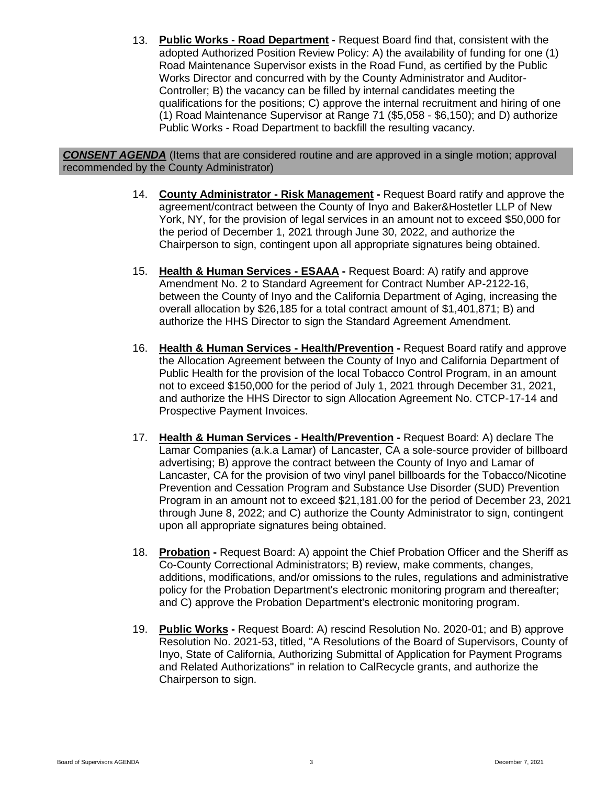13. **Public Works - Road Department -** Request Board find that, consistent with the adopted Authorized Position Review Policy: A) the availability of funding for one (1) Road Maintenance Supervisor exists in the Road Fund, as certified by the Public Works Director and concurred with by the County Administrator and Auditor-Controller; B) the vacancy can be filled by internal candidates meeting the qualifications for the positions; C) approve the internal recruitment and hiring of one (1) Road Maintenance Supervisor at Range 71 (\$5,058 - \$6,150); and D) authorize Public Works - Road Department to backfill the resulting vacancy.

#### *CONSENT AGENDA* (Items that are considered routine and are approved in a single motion; approval recommended by the County Administrator)

- 14. **County Administrator - Risk Management -** Request Board ratify and approve the agreement/contract between the County of Inyo and Baker&Hostetler LLP of New York, NY, for the provision of legal services in an amount not to exceed \$50,000 for the period of December 1, 2021 through June 30, 2022, and authorize the Chairperson to sign, contingent upon all appropriate signatures being obtained.
- 15. **Health & Human Services - ESAAA -** Request Board: A) ratify and approve Amendment No. 2 to Standard Agreement for Contract Number AP-2122-16, between the County of Inyo and the California Department of Aging, increasing the overall allocation by \$26,185 for a total contract amount of \$1,401,871; B) and authorize the HHS Director to sign the Standard Agreement Amendment.
- 16. **Health & Human Services - Health/Prevention -** Request Board ratify and approve the Allocation Agreement between the County of Inyo and California Department of Public Health for the provision of the local Tobacco Control Program, in an amount not to exceed \$150,000 for the period of July 1, 2021 through December 31, 2021, and authorize the HHS Director to sign Allocation Agreement No. CTCP-17-14 and Prospective Payment Invoices.
- 17. **Health & Human Services - Health/Prevention -** Request Board: A) declare The Lamar Companies (a.k.a Lamar) of Lancaster, CA a sole-source provider of billboard advertising; B) approve the contract between the County of Inyo and Lamar of Lancaster, CA for the provision of two vinyl panel billboards for the Tobacco/Nicotine Prevention and Cessation Program and Substance Use Disorder (SUD) Prevention Program in an amount not to exceed \$21,181.00 for the period of December 23, 2021 through June 8, 2022; and C) authorize the County Administrator to sign, contingent upon all appropriate signatures being obtained.
- 18. **Probation -** Request Board: A) appoint the Chief Probation Officer and the Sheriff as Co-County Correctional Administrators; B) review, make comments, changes, additions, modifications, and/or omissions to the rules, regulations and administrative policy for the Probation Department's electronic monitoring program and thereafter; and C) approve the Probation Department's electronic monitoring program.
- 19. **Public Works -** Request Board: A) rescind Resolution No. 2020-01; and B) approve Resolution No. 2021-53, titled, "A Resolutions of the Board of Supervisors, County of Inyo, State of California, Authorizing Submittal of Application for Payment Programs and Related Authorizations" in relation to CalRecycle grants, and authorize the Chairperson to sign.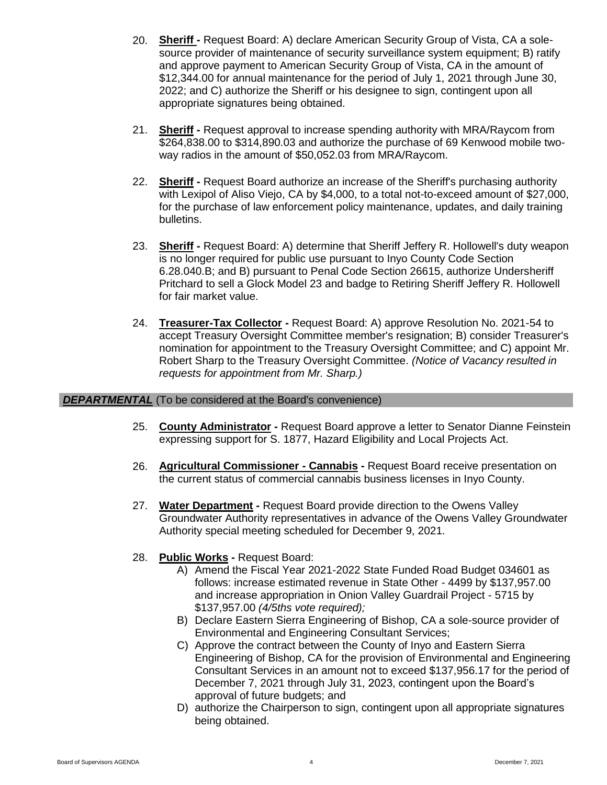- 20. **Sheriff -** Request Board: A) declare American Security Group of Vista, CA a solesource provider of maintenance of security surveillance system equipment; B) ratify and approve payment to American Security Group of Vista, CA in the amount of \$12,344.00 for annual maintenance for the period of July 1, 2021 through June 30, 2022; and C) authorize the Sheriff or his designee to sign, contingent upon all appropriate signatures being obtained.
- 21. **Sheriff -** Request approval to increase spending authority with MRA/Raycom from \$264,838.00 to \$314,890.03 and authorize the purchase of 69 Kenwood mobile twoway radios in the amount of \$50,052.03 from MRA/Raycom.
- 22. **Sheriff -** Request Board authorize an increase of the Sheriff's purchasing authority with Lexipol of Aliso Viejo, CA by \$4,000, to a total not-to-exceed amount of \$27,000, for the purchase of law enforcement policy maintenance, updates, and daily training bulletins.
- 23. **Sheriff -** Request Board: A) determine that Sheriff Jeffery R. Hollowell's duty weapon is no longer required for public use pursuant to Inyo County Code Section 6.28.040.B; and B) pursuant to Penal Code Section 26615, authorize Undersheriff Pritchard to sell a Glock Model 23 and badge to Retiring Sheriff Jeffery R. Hollowell for fair market value.
- 24. **Treasurer-Tax Collector -** Request Board: A) approve Resolution No. 2021-54 to accept Treasury Oversight Committee member's resignation; B) consider Treasurer's nomination for appointment to the Treasury Oversight Committee; and C) appoint Mr. Robert Sharp to the Treasury Oversight Committee. *(Notice of Vacancy resulted in requests for appointment from Mr. Sharp.)*

#### **DEPARTMENTAL** (To be considered at the Board's convenience)

- 25. **County Administrator -** Request Board approve a letter to Senator Dianne Feinstein expressing support for S. 1877, Hazard Eligibility and Local Projects Act.
- 26. **Agricultural Commissioner - Cannabis -** Request Board receive presentation on the current status of commercial cannabis business licenses in Inyo County.
- 27. **Water Department -** Request Board provide direction to the Owens Valley Groundwater Authority representatives in advance of the Owens Valley Groundwater Authority special meeting scheduled for December 9, 2021.
- 28. **Public Works -** Request Board:
	- A) Amend the Fiscal Year 2021-2022 State Funded Road Budget 034601 as follows: increase estimated revenue in State Other - 4499 by \$137,957.00 and increase appropriation in Onion Valley Guardrail Project - 5715 by \$137,957.00 *(4/5ths vote required);*
	- B) Declare Eastern Sierra Engineering of Bishop, CA a sole-source provider of Environmental and Engineering Consultant Services;
	- C) Approve the contract between the County of Inyo and Eastern Sierra Engineering of Bishop, CA for the provision of Environmental and Engineering Consultant Services in an amount not to exceed \$137,956.17 for the period of December 7, 2021 through July 31, 2023, contingent upon the Board's approval of future budgets; and
	- D) authorize the Chairperson to sign, contingent upon all appropriate signatures being obtained.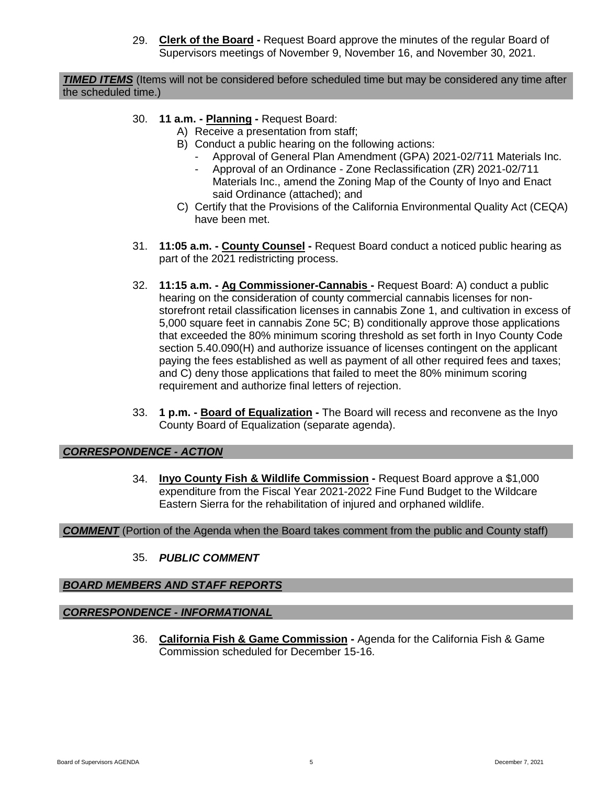29. **Clerk of the Board -** Request Board approve the minutes of the regular Board of Supervisors meetings of November 9, November 16, and November 30, 2021.

*TIMED ITEMS* (Items will not be considered before scheduled time but may be considered any time after the scheduled time.)

- 30. **11 a.m. - Planning -** Request Board:
	- A) Receive a presentation from staff;
	- B) Conduct a public hearing on the following actions:
		- Approval of General Plan Amendment (GPA) 2021-02/711 Materials Inc.
		- Approval of an Ordinance Zone Reclassification (ZR) 2021-02/711 Materials Inc., amend the Zoning Map of the County of Inyo and Enact said Ordinance (attached); and
	- C) Certify that the Provisions of the California Environmental Quality Act (CEQA) have been met.
- 31. **11:05 a.m. - County Counsel -** Request Board conduct a noticed public hearing as part of the 2021 redistricting process.
- 32. **11:15 a.m. - Ag Commissioner-Cannabis -** Request Board: A) conduct a public hearing on the consideration of county commercial cannabis licenses for nonstorefront retail classification licenses in cannabis Zone 1, and cultivation in excess of 5,000 square feet in cannabis Zone 5C; B) conditionally approve those applications that exceeded the 80% minimum scoring threshold as set forth in Inyo County Code section 5.40.090(H) and authorize issuance of licenses contingent on the applicant paying the fees established as well as payment of all other required fees and taxes; and C) deny those applications that failed to meet the 80% minimum scoring requirement and authorize final letters of rejection.
- 33. **1 p.m. - Board of Equalization -** The Board will recess and reconvene as the Inyo County Board of Equalization (separate agenda).

#### *CORRESPONDENCE - ACTION*

34. **Inyo County Fish & Wildlife Commission -** Request Board approve a \$1,000 expenditure from the Fiscal Year 2021-2022 Fine Fund Budget to the Wildcare Eastern Sierra for the rehabilitation of injured and orphaned wildlife.

#### *COMMENT* (Portion of the Agenda when the Board takes comment from the public and County staff)

35. *PUBLIC COMMENT*

# *BOARD MEMBERS AND STAFF REPORTS*

# *CORRESPONDENCE - INFORMATIONAL*

36. **California Fish & Game Commission -** Agenda for the California Fish & Game Commission scheduled for December 15-16.